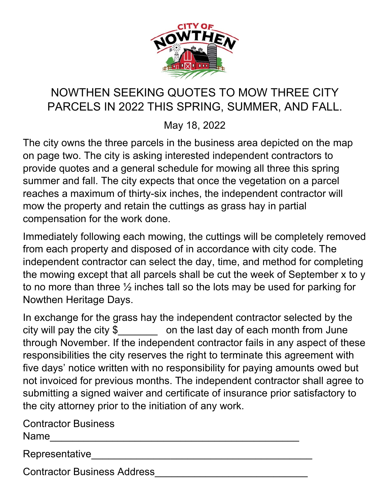

## NOWTHEN SEEKING QUOTES TO MOW THREE CITY PARCELS IN 2022 THIS SPRING, SUMMER, AND FALL.

May 18, 2022

The city owns the three parcels in the business area depicted on the map on page two. The city is asking interested independent contractors to provide quotes and a general schedule for mowing all three this spring summer and fall. The city expects that once the vegetation on a parcel reaches a maximum of thirty-six inches, the independent contractor will mow the property and retain the cuttings as grass hay in partial compensation for the work done.

Immediately following each mowing, the cuttings will be completely removed from each property and disposed of in accordance with city code. The independent contractor can select the day, time, and method for completing the mowing except that all parcels shall be cut the week of September x to y to no more than three ½ inches tall so the lots may be used for parking for Nowthen Heritage Days.

In exchange for the grass hay the independent contractor selected by the city will pay the city  $\oint$  on the last day of each month from June through November. If the independent contractor fails in any aspect of these responsibilities the city reserves the right to terminate this agreement with five days' notice written with no responsibility for paying amounts owed but not invoiced for previous months. The independent contractor shall agree to submitting a signed waiver and certificate of insurance prior satisfactory to the city attorney prior to the initiation of any work.

Contractor Business  $Name$ 

Representative

Contractor Business Address\_\_\_\_\_\_\_\_\_\_\_\_\_\_\_\_\_\_\_\_\_\_\_\_\_\_\_